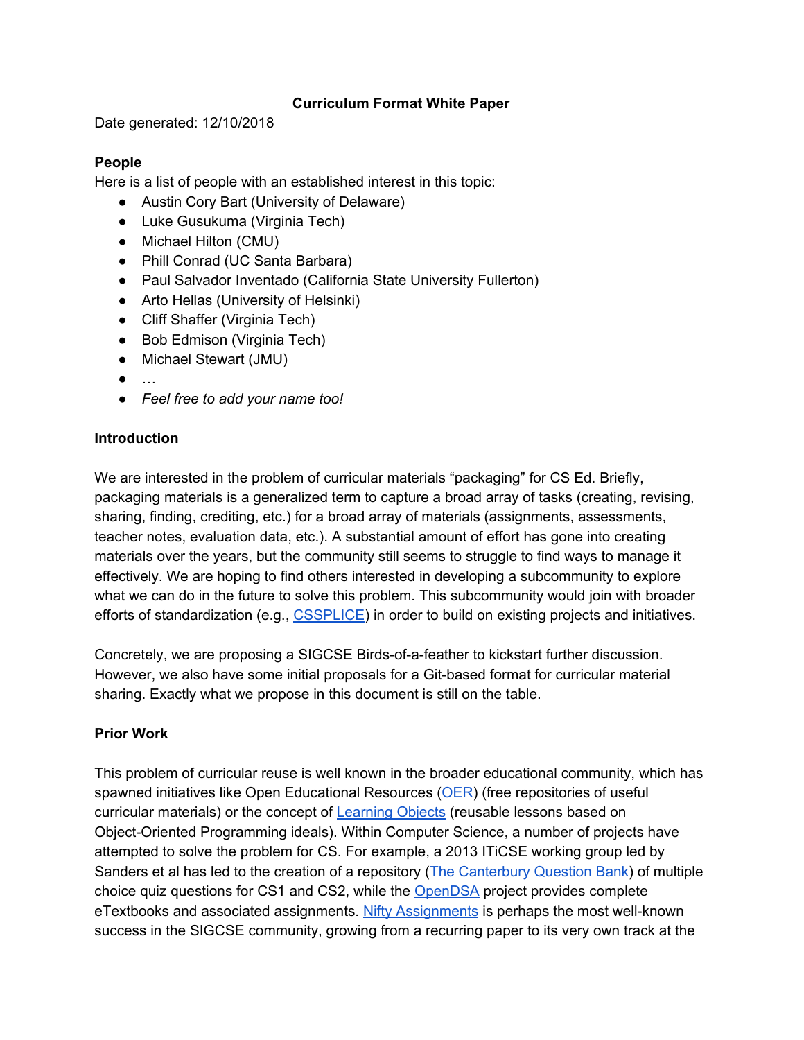### **Curriculum Format White Paper**

Date generated: 12/10/2018

#### **People**

Here is a list of people with an established interest in this topic:

- Austin Cory Bart (University of Delaware)
- Luke Gusukuma (Virginia Tech)
- Michael Hilton (CMU)
- Phill Conrad (UC Santa Barbara)
- Paul Salvador Inventado (California State University Fullerton)
- Arto Hellas (University of Helsinki)
- Cliff Shaffer (Virginia Tech)
- Bob Edmison (Virginia Tech)
- Michael Stewart (JMU)
- …
- *● Feel free to add your name too!*

## **Introduction**

We are interested in the problem of curricular materials "packaging" for CS Ed. Briefly, packaging materials is a generalized term to capture a broad array of tasks (creating, revising, sharing, finding, crediting, etc.) for a broad array of materials (assignments, assessments, teacher notes, evaluation data, etc.). A substantial amount of effort has gone into creating materials over the years, but the community still seems to struggle to find ways to manage it effectively. We are hoping to find others interested in developing a subcommunity to explore what we can do in the future to solve this problem. This subcommunity would join with broader efforts of standardization (e.g., [CSSPLICE\)](https://cssplice.github.io/) in order to build on existing projects and initiatives.

Concretely, we are proposing a SIGCSE Birds-of-a-feather to kickstart further discussion. However, we also have some initial proposals for a Git-based format for curricular material sharing. Exactly what we propose in this document is still on the table.

## **Prior Work**

This problem of curricular reuse is well known in the broader educational community, which has spawned initiatives like Open Educational Resources ([OER\)](https://en.wikipedia.org/wiki/Open_educational_resources) (free repositories of useful curricular materials) or the concept of [Learning](https://en.wikipedia.org/wiki/Learning_object) Objects (reusable lessons based on Object-Oriented Programming ideals). Within Computer Science, a number of projects have attempted to solve the problem for CS. For example, a 2013 ITiCSE working group led by Sanders et al has led to the creation of a repository (The [Canterbury](https://dl.acm.org/citation.cfm?id=2543885) Question Bank) of multiple choice quiz questions for CS1 and CS2, while the [OpenDSA](https://dl.acm.org/citation.cfm?id=2157390) project provides complete eTextbooks and associated assignments. Nifty [Assignments](http://nifty.stanford.edu/) is perhaps the most well-known success in the SIGCSE community, growing from a recurring paper to its very own track at the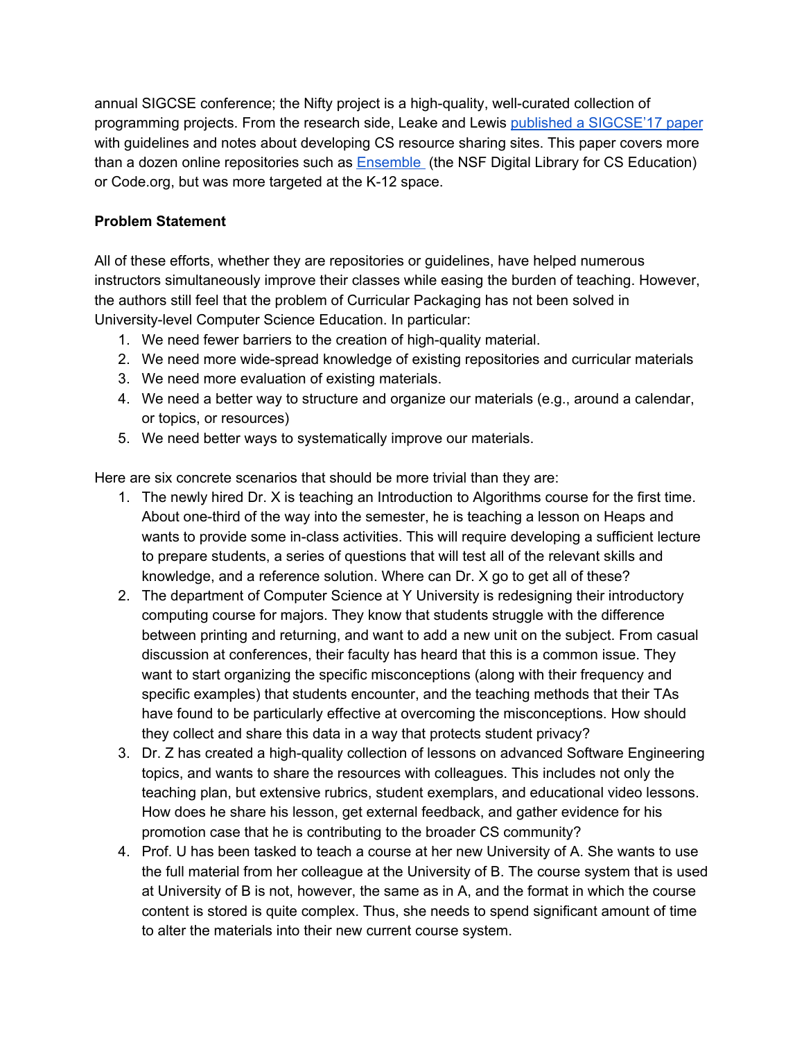annual SIGCSE conference; the Nifty project is a high-quality, well-curated collection of programming projects. From the research side, Leake and Lewis published a [SIGCSE'17](https://dl.acm.org/citation.cfm?id=3017780) paper with guidelines and notes about developing CS resource sharing sites. This paper covers more than a dozen online repositories such as [Ensemble](http://www.computingportal.org/) (the NSF Digital Library for CS Education) or Code.org, but was more targeted at the K-12 space.

## **Problem Statement**

All of these efforts, whether they are repositories or guidelines, have helped numerous instructors simultaneously improve their classes while easing the burden of teaching. However, the authors still feel that the problem of Curricular Packaging has not been solved in University-level Computer Science Education. In particular:

- 1. We need fewer barriers to the creation of high-quality material.
- 2. We need more wide-spread knowledge of existing repositories and curricular materials
- 3. We need more evaluation of existing materials.
- 4. We need a better way to structure and organize our materials (e.g., around a calendar, or topics, or resources)
- 5. We need better ways to systematically improve our materials.

Here are six concrete scenarios that should be more trivial than they are:

- 1. The newly hired Dr. X is teaching an Introduction to Algorithms course for the first time. About one-third of the way into the semester, he is teaching a lesson on Heaps and wants to provide some in-class activities. This will require developing a sufficient lecture to prepare students, a series of questions that will test all of the relevant skills and knowledge, and a reference solution. Where can Dr. X go to get all of these?
- 2. The department of Computer Science at Y University is redesigning their introductory computing course for majors. They know that students struggle with the difference between printing and returning, and want to add a new unit on the subject. From casual discussion at conferences, their faculty has heard that this is a common issue. They want to start organizing the specific misconceptions (along with their frequency and specific examples) that students encounter, and the teaching methods that their TAs have found to be particularly effective at overcoming the misconceptions. How should they collect and share this data in a way that protects student privacy?
- 3. Dr. Z has created a high-quality collection of lessons on advanced Software Engineering topics, and wants to share the resources with colleagues. This includes not only the teaching plan, but extensive rubrics, student exemplars, and educational video lessons. How does he share his lesson, get external feedback, and gather evidence for his promotion case that he is contributing to the broader CS community?
- 4. Prof. U has been tasked to teach a course at her new University of A. She wants to use the full material from her colleague at the University of B. The course system that is used at University of B is not, however, the same as in A, and the format in which the course content is stored is quite complex. Thus, she needs to spend significant amount of time to alter the materials into their new current course system.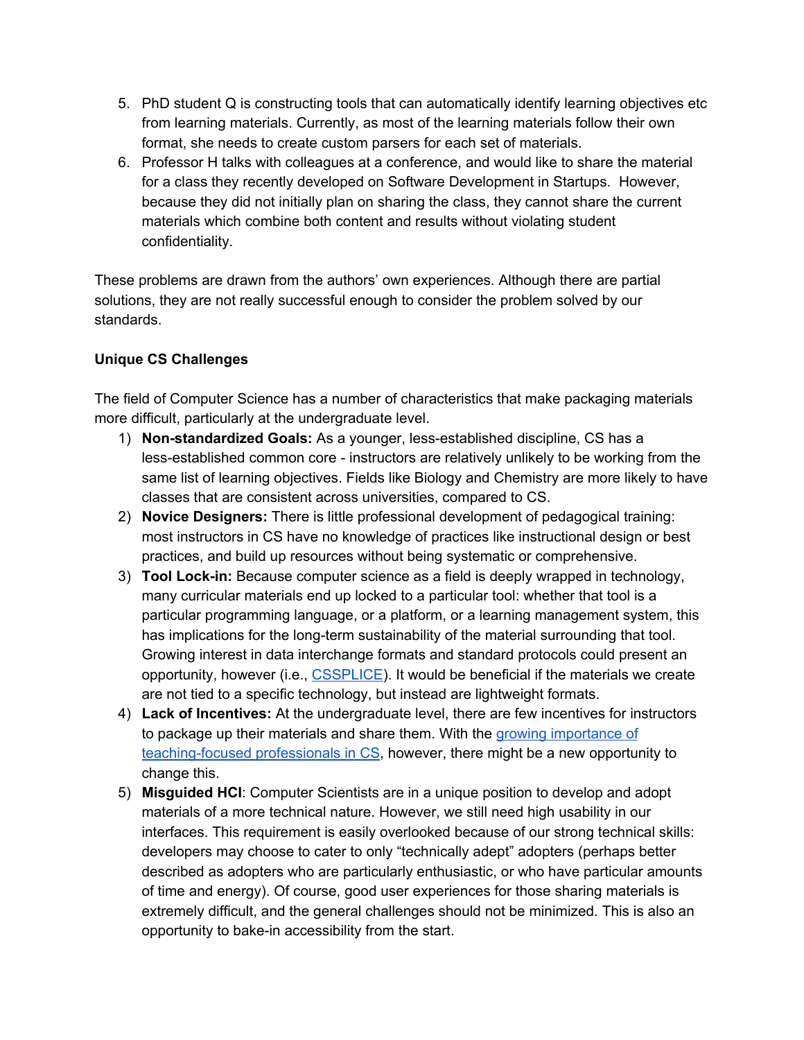- 5. PhD student Q is constructing tools that can automatically identify learning objectives etc from learning materials. Currently, as most of the learning materials follow their own format, she needs to create custom parsers for each set of materials.
- 6. Professor H talks with colleagues at a conference, and would like to share the material for a class they recently developed on Software Development in Startups. However, because they did not initially plan on sharing the class, they cannot share the current materials which combine both content and results without violating student confidentiality.

These problems are drawn from the authors' own experiences. Although there are partial solutions, they are not really successful enough to consider the problem solved by our standards.

## **Unique CS Challenges**

The field of Computer Science has a number of characteristics that make packaging materials more difficult, particularly at the undergraduate level.

- 1) **Non-standardized Goals:** As a younger, less-established discipline, CS has a less-established common core - instructors are relatively unlikely to be working from the same list of learning objectives. Fields like Biology and Chemistry are more likely to have classes that are consistent across universities, compared to CS.
- 2) **Novice Designers:** There is little professional development of pedagogical training: most instructors in CS have no knowledge of practices like instructional design or best practices, and build up resources without being systematic or comprehensive.
- 3) **Tool Lock-in:** Because computer science as a field is deeply wrapped in technology, many curricular materials end up locked to a particular tool: whether that tool is a particular programming language, or a platform, or a learning management system, this has implications for the long-term sustainability of the material surrounding that tool. Growing interest in data interchange formats and standard protocols could present an opportunity, however (i.e., [CSSPLICE\)](https://cssplice.github.io/). It would be beneficial if the materials we create are not tied to a specific technology, but instead are lightweight formats.
- 4) **Lack of Incentives:** At the undergraduate level, there are few incentives for instructors to package up their materials and share them. With the growing [importance](https://cra.org/teaching-faculty/?utm_source=CRA+Board%2C+Committee+Participants%2C+Member+Contacts+and+Staff&utm_medium=email&utm_campaign=85215f263b-RSS_Bulletin_Mailchimp&utm_term=0_0f664bcc92-85215f263b-82482385) of [teaching-focused](https://cra.org/teaching-faculty/?utm_source=CRA+Board%2C+Committee+Participants%2C+Member+Contacts+and+Staff&utm_medium=email&utm_campaign=85215f263b-RSS_Bulletin_Mailchimp&utm_term=0_0f664bcc92-85215f263b-82482385) professionals in CS, however, there might be a new opportunity to change this.
- 5) **Misguided HCI**: Computer Scientists are in a unique position to develop and adopt materials of a more technical nature. However, we still need high usability in our interfaces. This requirement is easily overlooked because of our strong technical skills: developers may choose to cater to only "technically adept" adopters (perhaps better described as adopters who are particularly enthusiastic, or who have particular amounts of time and energy). Of course, good user experiences for those sharing materials is extremely difficult, and the general challenges should not be minimized. This is also an opportunity to bake-in accessibility from the start.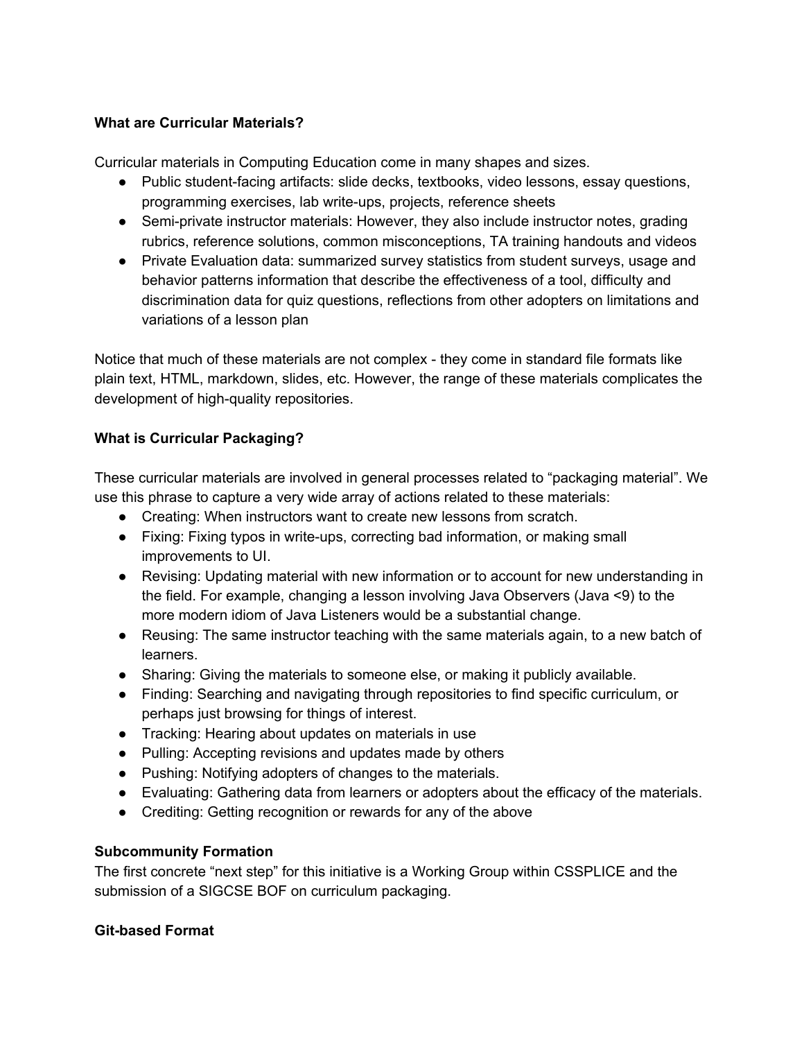## **What are Curricular Materials?**

Curricular materials in Computing Education come in many shapes and sizes.

- Public student-facing artifacts: slide decks, textbooks, video lessons, essay questions, programming exercises, lab write-ups, projects, reference sheets
- Semi-private instructor materials: However, they also include instructor notes, grading rubrics, reference solutions, common misconceptions, TA training handouts and videos
- Private Evaluation data: summarized survey statistics from student surveys, usage and behavior patterns information that describe the effectiveness of a tool, difficulty and discrimination data for quiz questions, reflections from other adopters on limitations and variations of a lesson plan

Notice that much of these materials are not complex - they come in standard file formats like plain text, HTML, markdown, slides, etc. However, the range of these materials complicates the development of high-quality repositories.

# **What is Curricular Packaging?**

These curricular materials are involved in general processes related to "packaging material". We use this phrase to capture a very wide array of actions related to these materials:

- Creating: When instructors want to create new lessons from scratch.
- Fixing: Fixing typos in write-ups, correcting bad information, or making small improvements to UI.
- Revising: Updating material with new information or to account for new understanding in the field. For example, changing a lesson involving Java Observers (Java <9) to the more modern idiom of Java Listeners would be a substantial change.
- Reusing: The same instructor teaching with the same materials again, to a new batch of learners.
- Sharing: Giving the materials to someone else, or making it publicly available.
- Finding: Searching and navigating through repositories to find specific curriculum, or perhaps just browsing for things of interest.
- Tracking: Hearing about updates on materials in use
- Pulling: Accepting revisions and updates made by others
- Pushing: Notifying adopters of changes to the materials.
- Evaluating: Gathering data from learners or adopters about the efficacy of the materials.
- Crediting: Getting recognition or rewards for any of the above

## **Subcommunity Formation**

The first concrete "next step" for this initiative is a Working Group within CSSPLICE and the submission of a SIGCSE BOF on curriculum packaging.

## **Git-based Format**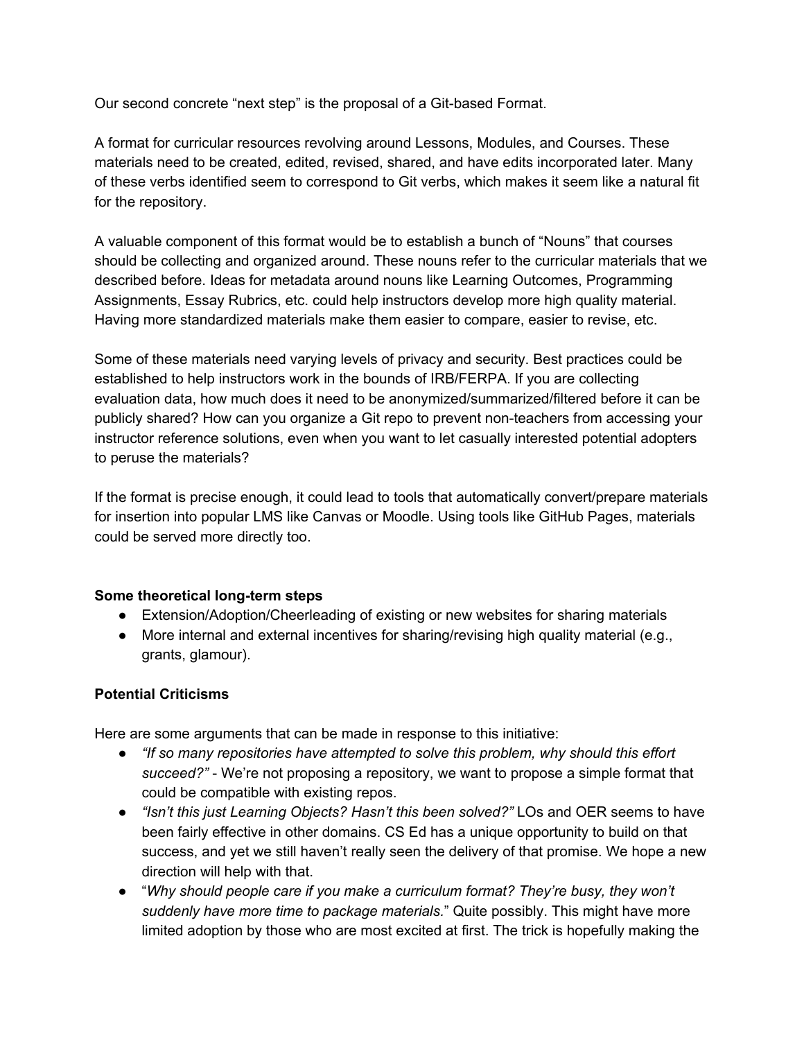Our second concrete "next step" is the proposal of a Git-based Format.

A format for curricular resources revolving around Lessons, Modules, and Courses. These materials need to be created, edited, revised, shared, and have edits incorporated later. Many of these verbs identified seem to correspond to Git verbs, which makes it seem like a natural fit for the repository.

A valuable component of this format would be to establish a bunch of "Nouns" that courses should be collecting and organized around. These nouns refer to the curricular materials that we described before. Ideas for metadata around nouns like Learning Outcomes, Programming Assignments, Essay Rubrics, etc. could help instructors develop more high quality material. Having more standardized materials make them easier to compare, easier to revise, etc.

Some of these materials need varying levels of privacy and security. Best practices could be established to help instructors work in the bounds of IRB/FERPA. If you are collecting evaluation data, how much does it need to be anonymized/summarized/filtered before it can be publicly shared? How can you organize a Git repo to prevent non-teachers from accessing your instructor reference solutions, even when you want to let casually interested potential adopters to peruse the materials?

If the format is precise enough, it could lead to tools that automatically convert/prepare materials for insertion into popular LMS like Canvas or Moodle. Using tools like GitHub Pages, materials could be served more directly too.

## **Some theoretical long-term steps**

- Extension/Adoption/Cheerleading of existing or new websites for sharing materials
- More internal and external incentives for sharing/revising high quality material (e.g., grants, glamour).

## **Potential Criticisms**

Here are some arguments that can be made in response to this initiative:

- *"If so many repositories have attempted to solve this problem, why should this effort succeed?"* - We're not proposing a repository, we want to propose a simple format that could be compatible with existing repos.
- *"Isn't this just Learning Objects? Hasn't this been solved?"* LOs and OER seems to have been fairly effective in other domains. CS Ed has a unique opportunity to build on that success, and yet we still haven't really seen the delivery of that promise. We hope a new direction will help with that.
- "*Why should people care if you make a curriculum format? They're busy, they won't suddenly have more time to package materials.*" Quite possibly. This might have more limited adoption by those who are most excited at first. The trick is hopefully making the